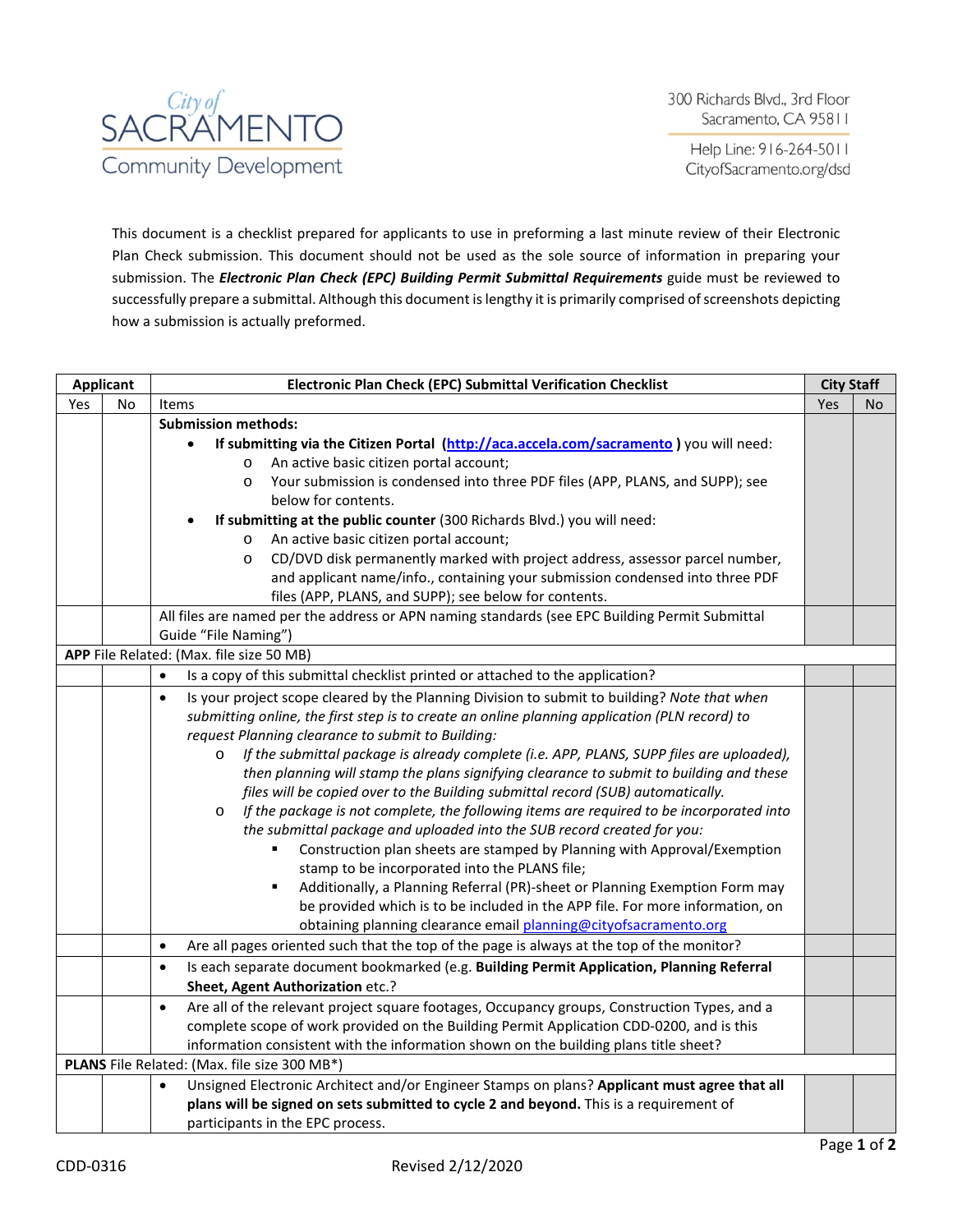

Help Line: 916-264-5011 CityofSacramento.org/dsd

This document is a checklist prepared for applicants to use in preforming a last minute review of their Electronic Plan Check submission. This document should not be used as the sole source of information in preparing your submission. The *Electronic Plan Check (EPC) Building Permit Submittal Requirements* guide must be reviewed to successfully prepare a submittal. Although this document is lengthy it is primarily comprised of screenshots depicting how a submission is actually preformed.

| <b>Applicant</b> |    | Electronic Plan Check (EPC) Submittal Verification Checklist                                              | <b>City Staff</b> |     |
|------------------|----|-----------------------------------------------------------------------------------------------------------|-------------------|-----|
| Yes              | No | <b>Items</b>                                                                                              | Yes               | No. |
|                  |    | <b>Submission methods:</b>                                                                                |                   |     |
|                  |    | If submitting via the Citizen Portal (http://aca.accela.com/sacramento) you will need:                    |                   |     |
|                  |    | An active basic citizen portal account;<br>$\circ$                                                        |                   |     |
|                  |    | Your submission is condensed into three PDF files (APP, PLANS, and SUPP); see<br>$\circ$                  |                   |     |
|                  |    | below for contents.                                                                                       |                   |     |
|                  |    | If submitting at the public counter (300 Richards Blvd.) you will need:                                   |                   |     |
|                  |    | An active basic citizen portal account;<br>$\circ$                                                        |                   |     |
|                  |    | CD/DVD disk permanently marked with project address, assessor parcel number,<br>$\circ$                   |                   |     |
|                  |    | and applicant name/info., containing your submission condensed into three PDF                             |                   |     |
|                  |    | files (APP, PLANS, and SUPP); see below for contents.                                                     |                   |     |
|                  |    | All files are named per the address or APN naming standards (see EPC Building Permit Submittal            |                   |     |
|                  |    | Guide "File Naming")                                                                                      |                   |     |
|                  |    | APP File Related: (Max. file size 50 MB)                                                                  |                   |     |
|                  |    | $\bullet$<br>Is a copy of this submittal checklist printed or attached to the application?                |                   |     |
|                  |    | Is your project scope cleared by the Planning Division to submit to building? Note that when<br>$\bullet$ |                   |     |
|                  |    | submitting online, the first step is to create an online planning application (PLN record) to             |                   |     |
|                  |    | request Planning clearance to submit to Building:                                                         |                   |     |
|                  |    | If the submittal package is already complete (i.e. APP, PLANS, SUPP files are uploaded),<br>$\circ$       |                   |     |
|                  |    | then planning will stamp the plans signifying clearance to submit to building and these                   |                   |     |
|                  |    | files will be copied over to the Building submittal record (SUB) automatically.                           |                   |     |
|                  |    | If the package is not complete, the following items are required to be incorporated into<br>$\circ$       |                   |     |
|                  |    | the submittal package and uploaded into the SUB record created for you:                                   |                   |     |
|                  |    | Construction plan sheets are stamped by Planning with Approval/Exemption<br>٠                             |                   |     |
|                  |    | stamp to be incorporated into the PLANS file;                                                             |                   |     |
|                  |    | Additionally, a Planning Referral (PR)-sheet or Planning Exemption Form may<br>٠                          |                   |     |
|                  |    | be provided which is to be included in the APP file. For more information, on                             |                   |     |
|                  |    | obtaining planning clearance email planning@cityofsacramento.org                                          |                   |     |
|                  |    | Are all pages oriented such that the top of the page is always at the top of the monitor?<br>$\bullet$    |                   |     |
|                  |    | Is each separate document bookmarked (e.g. Building Permit Application, Planning Referral<br>$\bullet$    |                   |     |
|                  |    | Sheet, Agent Authorization etc.?                                                                          |                   |     |
|                  |    | Are all of the relevant project square footages, Occupancy groups, Construction Types, and a<br>$\bullet$ |                   |     |
|                  |    |                                                                                                           |                   |     |
|                  |    | information consistent with the information shown on the building plans title sheet?                      |                   |     |
|                  |    | PLANS File Related: (Max. file size 300 MB*)                                                              |                   |     |
|                  |    | Unsigned Electronic Architect and/or Engineer Stamps on plans? Applicant must agree that all<br>$\bullet$ |                   |     |
|                  |    | plans will be signed on sets submitted to cycle 2 and beyond. This is a requirement of                    |                   |     |
|                  |    | participants in the EPC process.                                                                          |                   |     |
|                  |    | complete scope of work provided on the Building Permit Application CDD-0200, and is this                  |                   |     |